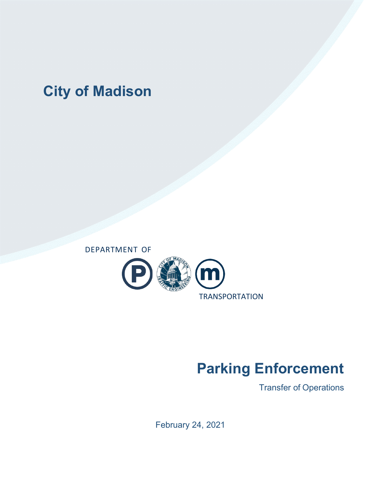# **City of Madison**



# **Parking Enforcement**

Transfer of Operations

February 24, 2021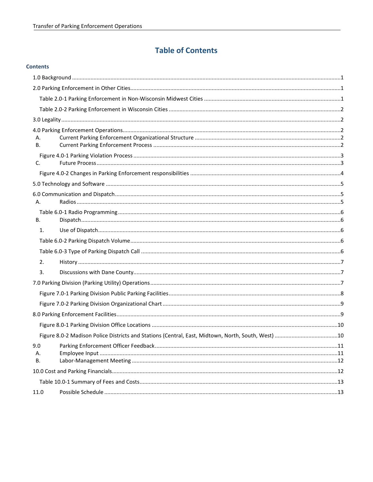### **Table of Contents**

| Α.<br><b>B.</b> |                                                                                                    |  |
|-----------------|----------------------------------------------------------------------------------------------------|--|
|                 |                                                                                                    |  |
| C.              |                                                                                                    |  |
|                 |                                                                                                    |  |
|                 |                                                                                                    |  |
|                 |                                                                                                    |  |
| А.              |                                                                                                    |  |
|                 |                                                                                                    |  |
| <b>B.</b>       |                                                                                                    |  |
| 1.              |                                                                                                    |  |
|                 |                                                                                                    |  |
|                 |                                                                                                    |  |
| 2.              |                                                                                                    |  |
| 3.              |                                                                                                    |  |
|                 |                                                                                                    |  |
|                 |                                                                                                    |  |
|                 |                                                                                                    |  |
|                 |                                                                                                    |  |
|                 |                                                                                                    |  |
|                 | Figure 8.0-2 Madison Police Districts and Stations (Central, East, Midtown, North, South, West) 10 |  |
|                 |                                                                                                    |  |
| А.<br><b>B.</b> |                                                                                                    |  |
|                 |                                                                                                    |  |
|                 |                                                                                                    |  |
| 11.0            |                                                                                                    |  |
|                 |                                                                                                    |  |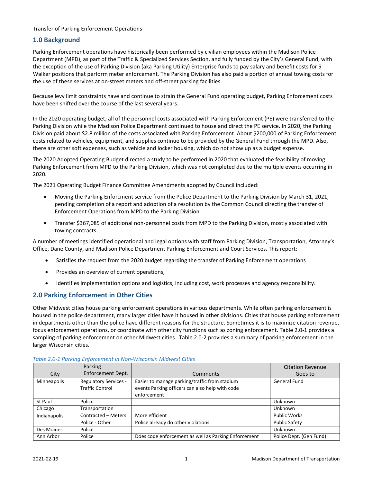#### <span id="page-2-0"></span>**1.0 Background**

Parking Enforcement operations have historically been performed by civilian employees within the Madison Police Department (MPD), as part of the Traffic & Specialized Services Section, and fully funded by the City's General Fund, with the exception of the use of Parking Division (aka Parking Utility) Enterprise funds to pay salary and benefit costs for 5 Walker positions that perform meter enforcement. The Parking Division has also paid a portion of annual towing costs for the use of these services at on-street meters and off-street parking facilities.

Because levy limit constraints have and continue to strain the General Fund operating budget, Parking Enforcement costs have been shifted over the course of the last several years.

In the 2020 operating budget, all of the personnel costs associated with Parking Enforcement (PE) were transferred to the Parking Division while the Madison Police Department continued to house and direct the PE service. In 2020, the Parking Division paid about \$2.8 million of the costs associated with Parking Enforcement. About \$200,000 of Parking Enforcement costs related to vehicles, equipment, and supplies continue to be provided by the General Fund through the MPD. Also, there are other soft expenses, such as vehicle and locker housing, which do not show up as a budget expense.

The 2020 Adopted Operating Budget directed a study to be performed in 2020 that evaluated the feasibility of moving Parking Enforcement from MPD to the Parking Division, which was not completed due to the multiple events occurring in 2020.

The 2021 Operating Budget Finance Committee Amendments adopted by Council included:

- Moving the Parking Enforcment service from the Police Department to the Parking Division by March 31, 2021, pending completion of a report and adoption of a resolution by the Common Council directing the transfer of Enforcement Operations from MPD to the Parking Division.
- Transfer \$367,085 of additional non-personnel costs from MPD to the Parking Division, mostly associated with towing contracts.

A number of meetings identified operational and legal options with staff from Parking Division, Transportation, Attorney's Office, Dane County, and Madison Police Department Parking Enforcement and Court Services. This report:

- Satisfies the request from the 2020 budget regarding the transfer of Parking Enforcement operations
- Provides an overview of current operations,
- Identifies implementation options and logistics, including cost, work processes and agency responsibility.

#### <span id="page-2-1"></span>**2.0 Parking Enforcement in Other Cities**

Other Midwest cities house parking enforcement operations in various departments. While often parking enforcement is housed in the police department, many larger cities have it housed in other divisions. Cities that house parking enforcement in departments other than the police have different reasons for the structure. Sometimes it is to maximize citation revenue, focus enforcement operations, or coordinate with other city functions such as zoning enforcement. Table 2.0-1 provides a sampling of parking enforcement on other Midwest cities. Table 2.0-2 provides a summary of parking enforcement in the larger Wisconsin cities.

|              | Parking                                                |                                                                                                                 | <b>Citation Revenue</b> |
|--------------|--------------------------------------------------------|-----------------------------------------------------------------------------------------------------------------|-------------------------|
| City         | Enforcement Dept.                                      | Comments                                                                                                        | Goes to                 |
| Minneapolis  | <b>Regulatory Services -</b><br><b>Traffic Control</b> | Easier to manage parking/traffic from stadium<br>events Parking officers can also help with code<br>enforcement | General Fund            |
| St Paul      | Police                                                 |                                                                                                                 | Unknown                 |
| Chicago      | Transportation                                         |                                                                                                                 | Unknown                 |
| Indianapolis | Contracted - Meters                                    | More efficient                                                                                                  | <b>Public Works</b>     |
|              | Police - Other                                         | Police already do other violations                                                                              | <b>Public Safety</b>    |
| Des Moines   | Police                                                 |                                                                                                                 | Unknown                 |
| Ann Arbor    | Police                                                 | Does code enforcement as well as Parking Enforcement                                                            | Police Dept. (Gen Fund) |

#### <span id="page-2-2"></span>*Table 2.0-1 Parking Enforcement in Non-Wisconsin Midwest Cities*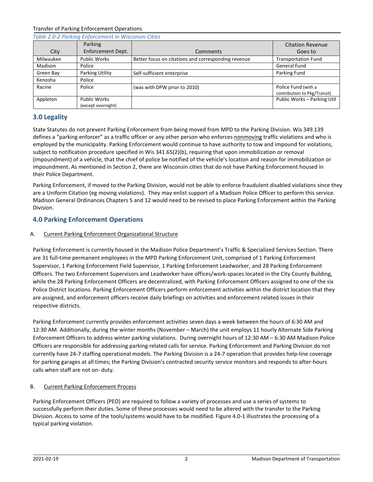<span id="page-3-0"></span>

| Table 2.0-2 Parking Enforcement in Wisconsin Cities |                                           |                                                     |                                                     |  |  |
|-----------------------------------------------------|-------------------------------------------|-----------------------------------------------------|-----------------------------------------------------|--|--|
|                                                     | Parking                                   |                                                     | <b>Citation Revenue</b>                             |  |  |
| City                                                | Enforcement Dept.                         | Comments                                            | Goes to                                             |  |  |
| Milwaukee                                           | <b>Public Works</b>                       | Better focus on citations and corresponding revenue | <b>Transportation Fund</b>                          |  |  |
| Madison                                             | Police                                    |                                                     | <b>General Fund</b>                                 |  |  |
| Green Bay                                           | Parking Utility                           | Self-sufficient enterprise                          | Parking Fund                                        |  |  |
| Kenosha                                             | Police                                    |                                                     |                                                     |  |  |
| Racine                                              | Police                                    | (was with DPW prior to 2010)                        | Police Fund (with a<br>contribution to Pkg/Transit) |  |  |
| Appleton                                            | <b>Public Works</b><br>(except overnight) |                                                     | Public Works - Parking Util                         |  |  |

#### <span id="page-3-1"></span>**3.0 Legality**

State Statutes do not prevent Parking Enforcement from being moved from MPD to the Parking Division. Wis 349.139 defines a "parking enforcer" as a traffic officer or any other person who enforces nonmoving traffic violations and who is employed by the municipality. Parking Enforcement would continue to have authority to tow and impound for violations, subject to notification procedure specified in Wis 341.65(2)(b), requiring that upon immobilization or removal (impoundment) of a vehicle, that the chief of police be notified of the vehicle's location and reason for immobilization or impoundment. As mentioned in Section 2, there are Wisconsin cities that do not have Parking Enforcement housed in their Police Department.

Parking Enforcement, if moved to the Parking Division, would not be able to enforce fraudulent disabled violations since they are a Uniform Citation (eg moving violations). They may enlist support of a Madison Police Officer to perform this service. Madison General Ordinances Chapters 5 and 12 would need to be revised to place Parking Enforcement within the Parking Division.

### <span id="page-3-2"></span>**4.0 Parking Enforcement Operations**

#### <span id="page-3-3"></span>A. Current Parking Enforcement Organizational Structure

Parking Enforcement is currently housed in the Madison Police Department's Traffic & Specialized Services Section. There are 31 full-time permanent employees in the MPD Parking Enforcement Unit, comprised of 1 Parking Enforcement Supervisor, 1 Parking Enforcement Field Supervisor, 1 Parking Enforcement Leadworker, and 28 Parking Enforcement Officers. The two Enforcement Supervisors and Leadworker have offices/work-spaces located in the City County Building, while the 28 Parking Enforcement Officers are decentralized, with Parking Enforcement Officers assigned to one of the six Police District locations. Parking Enforcement Officers perform enforcement activities within the district location that they are assigned, and enforcement officers receive daily briefings on activities and enforcement related issues in their respective districts.

Parking Enforcement currently provides enforcement activities seven days a week between the hours of 6:30 AM and 12:30 AM. Additionally, during the winter months (November – March) the unit employs 11 hourly Alternate Side Parking Enforcement Officers to address winter parking violations. During overnight hours of 12:30 AM – 6:30 AM Madison Police Officers are responsible for addressing parking related calls for service. Parking Enforcement and Parking Division do not currently have 24-7 staffing operational models. The Parking Division is a 24-7 operation that provides help-line coverage for parking garages at all times; the Parking Division's contracted security service monitors and responds to after-hours calls when staff are not on- duty.

#### <span id="page-3-4"></span>B. Current Parking Enforcement Process

Parking Enforcement Officers (PEO) are required to follow a variety of processes and use a series of systems to successfully perform their duties. Some of these processes would need to be altered with the transfer to the Parking Division. Access to some of the tools/systems would have to be modified. Figure 4.0-1 illustrates the processing of a typical parking violation.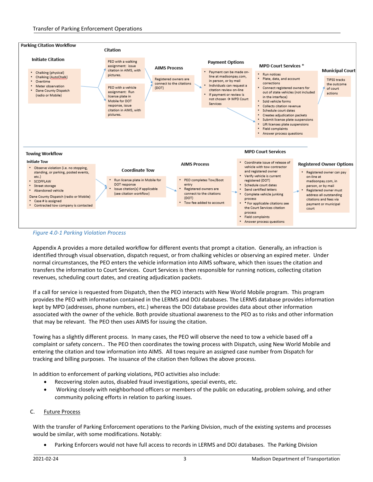

<span id="page-4-0"></span>

Appendix A provides a more detailed workflow for different events that prompt a citation. Generally, an infraction is identified through visual observation, dispatch request, or from chalking vehicles or observing an expired meter. Under normal circumstances, the PEO enters the vehicle information into AIMS software, which then issues the citation and transfers the information to Court Services. Court Services is then responsible for running notices, collecting citation revenues, scheduling court dates, and creating adjudication packets.

If a call for service is requested from Dispatch, then the PEO interacts with New World Mobile program. This program provides the PEO with information contained in the LERMS and DOJ databases. The LERMS database provides information kept by MPD (addresses, phone numbers, etc.) whereas the DOJ database provides data about other information associated with the owner of the vehicle. Both provide situational awareness to the PEO as to risks and other information that may be relevant. The PEO then uses AIMS for issuing the citation.

Towing has a slightly different process. In many cases, the PEO will observe the need to tow a vehicle based off a complaint or safety concern.. The PEO then coordinates the towing process with Dispatch, using New World Mobile and entering the citation and tow information into AIMS. All tows require an assigned case number from Dispatch for tracking and billing purposes. The issuance of the citation then follows the above process.

In addition to enforcement of parking violations, PEO activities also include:

- Recovering stolen autos, disabled fraud investigations, special events, etc.
- Working closely with neighborhood officers or members of the public on educating, problem solving, and other community policing efforts in relation to parking issues.

#### <span id="page-4-1"></span>C. Future Process

With the transfer of Parking Enforcement operations to the Parking Division, much of the existing systems and processes would be similar, with some modifications. Notably:

• Parking Enforcers would not have full access to records in LERMS and DOJ databases. The Parking Division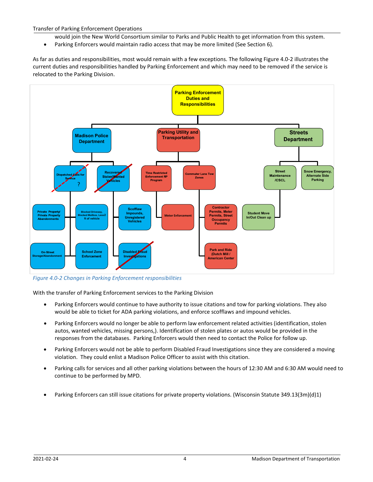- would join the New World Consortium similar to Parks and Public Health to get information from this system.
- Parking Enforcers would maintain radio access that may be more limited (See Section 6).

As far as duties and responsibilities, most would remain with a few exceptions. The following Figure 4.0-2 illustrates the current duties and responsibilities handled by Parking Enforcement and which may need to be removed if the service is relocated to the Parking Division.



<span id="page-5-0"></span>*Figure 4.0-2 Changes in Parking Enforcement responsibilities*

With the transfer of Parking Enforcement services to the Parking Division

- Parking Enforcers would continue to have authority to issue citations and tow for parking violations. They also would be able to ticket for ADA parking violations, and enforce scofflaws and impound vehicles.
- Parking Enforcers would no longer be able to perform law enforcement related activities (identification, stolen autos, wanted vehicles, missing persons,). Identification of stolen plates or autos would be provided in the responses from the databases. Parking Enforcers would then need to contact the Police for follow up.
- Parking Enforcers would not be able to perform Disabled Fraud Investigations since they are considered a moving violation. They could enlist a Madison Police Officer to assist with this citation.
- Parking calls for services and all other parking violations between the hours of 12:30 AM and 6:30 AM would need to continue to be performed by MPD.
- Parking Enforcers can still issue citations for private property violations. (Wisconsin Statute 349.13(3m)(d)1)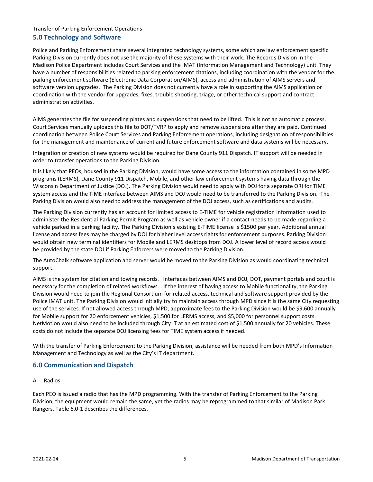#### <span id="page-6-0"></span>**5.0 Technology and Software**

Police and Parking Enforcement share several integrated technology systems, some which are law enforcement specific. Parking Division currently does not use the majority of these systems with their work. The Records Division in the Madison Police Department includes Court Services and the IMAT (Information Management and Technology) unit. They have a number of responsibilities related to parking enforcement citations, including coordination with the vendor for the parking enforcement software (Electronic Data Corporation/AIMS), access and administration of AIMS servers and software version upgrades. The Parking Division does not currently have a role in supporting the AIMS application or coordination with the vendor for upgrades, fixes, trouble shooting, triage, or other technical support and contract administration activities.

AIMS generates the file for suspending plates and suspensions that need to be lifted. This is not an automatic process, Court Services manually uploads this file to DOT/TVRP to apply and remove suspensions after they are paid. Continued coordination between Police Court Services and Parking Enforcement operations, including designation of responsibilities for the management and maintenance of current and future enforcement software and data systems will be necessary.

Integration or creation of new systems would be required for Dane County 911 Dispatch. IT support will be needed in order to transfer operations to the Parking Division.

It is likely that PEOs, housed in the Parking Division, would have some access to the information contained in some MPD programs (LERMS), Dane County 911 Dispatch, Mobile, and other law enforcement systems having data through the Wisconsin Department of Justice (DOJ). The Parking Division would need to apply with DOJ for a separate ORI for TIME system access and the TIME interface between AIMS and DOJ would need to be transferred to the Parking Division. The Parking Division would also need to address the management of the DOJ access, such as certifications and audits.

The Parking Division currently has an account for limited access to E-TIME for vehicle registration information used to administer the Residential Parking Permit Program as well as vehicle owner if a contact needs to be made regarding a vehicle parked in a parking facility. The Parking Division's existing E-TIME license is \$1500 per year. Additional annual license and access fees may be charged by DOJ for higher level access rights for enforcement purposes. Parking Division would obtain new terminal identifiers for Mobile and LERMS desktops from DOJ. A lower level of record access would be provided by the state DOJ if Parking Enforcers were moved to the Parking Division.

The AutoChalk software application and server would be moved to the Parking Division as would coordinating technical support.

AIMS is the system for citation and towing records. Interfaces between AIMS and DOJ, DOT, payment portals and court is necessary for the completion of related workflows. . If the interest of having access to Mobile functionality, the Parking Division would need to join the Regional Consortium for related access, technical and software support provided by the Police IMAT unit. The Parking Division would initially try to maintain access through MPD since it is the same City requesting use of the services. If not allowed access through MPD, approximate fees to the Parking Division would be \$9,600 annually for Mobile support for 20 enforcement vehicles, \$1,500 for LERMS access, and \$5,000 for personnel support costs. NetMotion would also need to be included through City IT at an estimated cost of \$1,500 annually for 20 vehicles. These costs do not include the separate DOJ licensing fees for TIME system access if needed.

With the transfer of Parking Enforcement to the Parking Division, assistance will be needed from both MPD's Information Management and Technology as well as the City's IT department.

#### <span id="page-6-1"></span>**6.0 Communication and Dispatch**

#### <span id="page-6-2"></span>A. Radios

Each PEO is issued a radio that has the MPD programming. With the transfer of Parking Enforcement to the Parking Division, the equipment would remain the same, yet the radios may be reprogrammed to that similar of Madison Park Rangers. Table 6.0-1 describes the differences.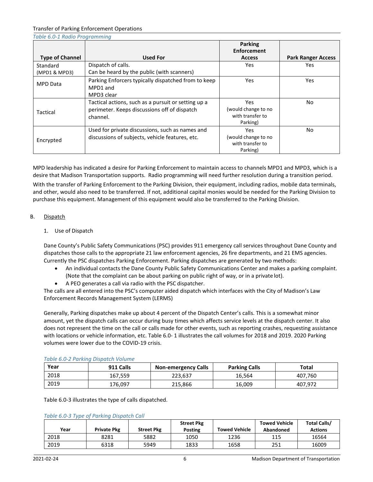<span id="page-7-0"></span>

| Table 6.0-1 Radio Programming |                                                                                                                 |                                                                   |                           |
|-------------------------------|-----------------------------------------------------------------------------------------------------------------|-------------------------------------------------------------------|---------------------------|
| <b>Type of Channel</b>        | <b>Used For</b>                                                                                                 | <b>Parking</b><br><b>Enforcement</b><br><b>Access</b>             | <b>Park Ranger Access</b> |
| Standard<br>(MPD1 & MPD3)     | Dispatch of calls.<br>Can be heard by the public (with scanners)                                                | <b>Yes</b>                                                        | Yes                       |
| <b>MPD Data</b>               | Parking Enforcers typically dispatched from to keep<br>MPD1 and<br>MPD3 clear                                   | <b>Yes</b>                                                        | Yes.                      |
| Tactical                      | Tactical actions, such as a pursuit or setting up a<br>perimeter. Keeps discussions off of dispatch<br>channel. | <b>Yes</b><br>(would change to no<br>with transfer to<br>Parking) | No.                       |
| Encrypted                     | Used for private discussions, such as names and<br>discussions of subjects, vehicle features, etc.              | <b>Yes</b><br>(would change to no<br>with transfer to<br>Parking) | No.                       |

MPD leadership has indicated a desire for Parking Enforcement to maintain access to channels MPD1 and MPD3, which is a desire that Madison Transportation supports. Radio programming will need further resolution during a transition period.

With the transfer of Parking Enforcement to the Parking Division, their equipment, including radios, mobile data terminals, and other, would also need to be transferred. If not, additional capital monies would be needed for the Parking Division to purchase this equipment. Management of this equipment would also be transferred to the Parking Division.

#### <span id="page-7-2"></span><span id="page-7-1"></span>B. Dispatch

#### 1. Use of Dispatch

Dane County's Public Safety Communications (PSC) provides 911 emergency call services throughout Dane County and dispatches those calls to the appropriate 21 law enforcement agencies, 26 fire departments, and 21 EMS agencies. Currently the PSC dispatches Parking Enforcement. Parking dispatches are generated by two methods:

- An individual contacts the Dane County Public Safety Communications Center and makes a parking complaint. (Note that the complaint can be about parking on public right of way, or in a private lot).
- A PEO generates a call via radio with the PSC dispatcher.

The calls are all entered into the PSC's computer aided dispatch which interfaces with the City of Madison's Law Enforcement Records Management System (LERMS)

Generally, Parking dispatches make up about 4 percent of the Dispatch Center's calls. This is a somewhat minor amount, yet the dispatch calls can occur during busy times which affects service levels at the dispatch center. It also does not represent the time on the call or calls made for other events, such as reporting crashes, requesting assistance with locations or vehicle information, etc. Table 6.0- 1 illustrates the call volumes for 2018 and 2019. 2020 Parking volumes were lower due to the COVID-19 crisis.

<span id="page-7-3"></span>

| Year | 911 Calls | <b>Non-emergency Calls</b> | <b>Parking Calls</b> | Total   |
|------|-----------|----------------------------|----------------------|---------|
| 2018 | 167,559   | 223.637                    | 16,564               | 407.760 |
| 2019 | 176,097   | 215.866                    | 16,009               | 407,972 |

#### *Table 6.0-2 Parking Dispatch Volume*

Table 6.0-3 illustrates the type of calls dispatched.

<span id="page-7-4"></span>

|  |  |  | Table 6.0-3 Type of Parking Dispatch Call |  |
|--|--|--|-------------------------------------------|--|
|--|--|--|-------------------------------------------|--|

|      |                    |                   | <b>Street Pkg</b> |                      | <b>Towed Vehicle</b> | <b>Total Calls/</b> |
|------|--------------------|-------------------|-------------------|----------------------|----------------------|---------------------|
| Year | <b>Private Pkg</b> | <b>Street Pkg</b> | <b>Posting</b>    | <b>Towed Vehicle</b> | Abandoned            | <b>Actions</b>      |
| 2018 | 8281               | 5882              | 1050              | 1236                 | 115                  | 16564               |
| 2019 | 6318               | 5949              | 1833              | 1658                 | 251                  | 16009               |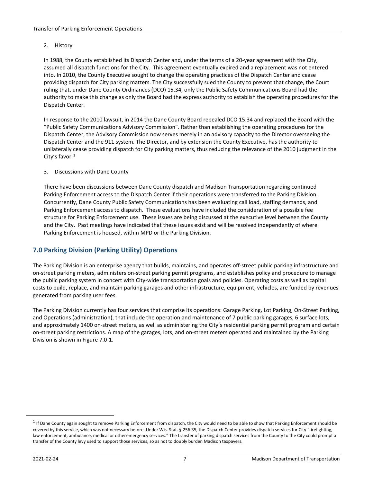#### <span id="page-8-0"></span>2. History

In 1988, the County established its Dispatch Center and, under the terms of a 20-year agreement with the City, assumed all dispatch functions for the City. This agreement eventually expired and a replacement was not entered into. In 2010, the County Executive sought to change the operating practices of the Dispatch Center and cease providing dispatch for City parking matters. The City successfully sued the County to prevent that change, the Court ruling that, under Dane County Ordinances (DCO) 15.34, only the Public Safety Communications Board had the authority to make this change as only the Board had the express authority to establish the operating procedures for the Dispatch Center.

In response to the 2010 lawsuit, in 2014 the Dane County Board repealed DCO 15.34 and replaced the Board with the "Public Safety Communications Advisory Commission". Rather than establishing the operating procedures for the Dispatch Center, the Advisory Commission now serves merely in an advisory capacity to the Director overseeing the Dispatch Center and the 911 system. The Director, and by extension the County Executive, has the authority to unilaterally cease providing dispatch for City parking matters, thus reducing the relevance of the 2010 judgment in the City's favor. $1$ 

#### <span id="page-8-1"></span>3. Discussions with Dane County

There have been discussions between Dane County dispatch and Madison Transportation regarding continued Parking Enforcement access to the Dispatch Center if their operations were transferred to the Parking Division. Concurrently, Dane County Public Safety Communications has been evaluating call load, staffing demands, and Parking Enforcement access to dispatch. These evaluations have included the consideration of a possible fee structure for Parking Enforcement use. These issues are being discussed at the executive level between the County and the City. Past meetings have indicated that these issues exist and will be resolved independently of where Parking Enforcement is housed, within MPD or the Parking Division.

#### <span id="page-8-2"></span>**7.0 Parking Division (Parking Utility) Operations**

The Parking Division is an enterprise agency that builds, maintains, and operates off-street public parking infrastructure and on-street parking meters, administers on-street parking permit programs, and establishes policy and procedure to manage the public parking system in concert with City-wide transportation goals and policies. Operating costs as well as capital costs to build, replace, and maintain parking garages and other infrastructure, equipment, vehicles, are funded by revenues generated from parking user fees.

The Parking Division currently has four services that comprise its operations: Garage Parking, Lot Parking, On-Street Parking, and Operations (administration), that include the operation and maintenance of 7 public parking garages, 6 surface lots, and approximately 1400 on-street meters, as well as administering the City's residential parking permit program and certain on-street parking restrictions. A map of the garages, lots, and on-street meters operated and maintained by the Parking Division is shown in Figure 7.0-1.

<span id="page-8-3"></span> $1$  If Dane County again sought to remove Parking Enforcement from dispatch, the City would need to be able to show that Parking Enforcement should be covered by this service, which was not necessary before. Under Wis. Stat. § 256.35, the Dispatch Center provides dispatch services for City "firefighting, law enforcement, ambulance, medical or otheremergency services." The transfer of parking dispatch services from the County to the City could prompt a transfer of the County levy used to support those services, so as not to doubly burden Madison taxpayers.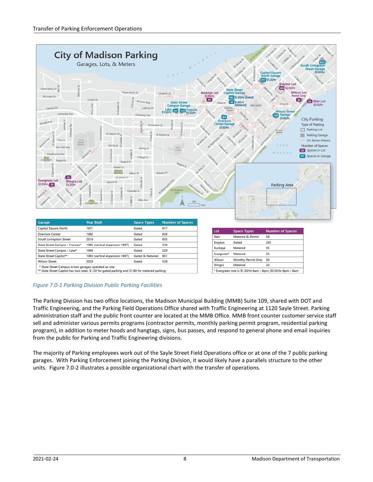

#### <span id="page-9-0"></span>*Figure 7.0-1 Parking Division Public Parking Facilities*

The Parking Division has two office locations, the Madison Municipal Building (MMB) Suite 109, shared with DOT and Traffic Engineering, and the Parking Field Operations Office shared with Traffic Engineering at 1120 Sayle Street. Parking administration staff and the public front counter are located at the MMB Office. MMB front counter customer service staff sell and administer various permits programs (contractor permits, monthly parking permit program, residential parking program), in addition to meter hoods and hangtags, signs, bus passes, and respond to general phone and email inquiries from the public for Parking and Traffic Engineering divisions.

The majority of Parking employees work out of the Sayle Street Field Operations office or at one of the 7 public parking garages. With Parking Enforcement joining the Parking Division, it would likely have a parallels structure to the other units. Figure 7.0-2 illustrates a possible organizational chart with the transfer of operations.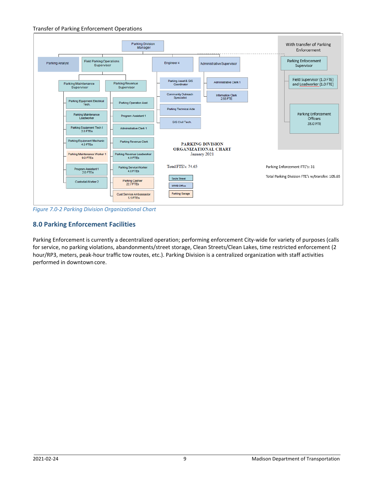<span id="page-10-0"></span>

*Figure 7.0-2 Parking Division Organizational Chart*

### <span id="page-10-1"></span>**8.0 Parking Enforcement Facilities**

Parking Enforcement is currently a decentralized operation; performing enforcement City-wide for variety of purposes (calls for service, no parking violations, abandonments/street storage, Clean Streets/Clean Lakes, time restricted enforcement (2 hour/RP3, meters, peak-hour traffic tow routes, etc.). Parking Division is a centralized organization with staff activities performed in downtown core.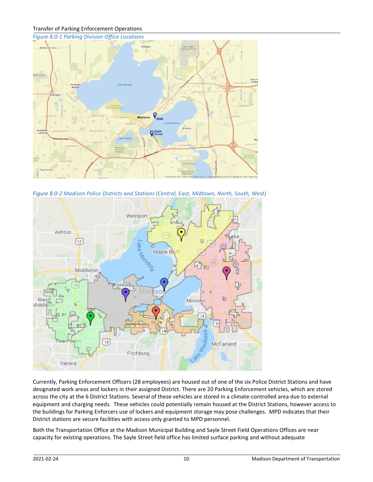<span id="page-11-0"></span>

<span id="page-11-1"></span>*Figure 8.0-2 Madison Police Districts and Stations (Central, East, Midtown, North, South, West)*



Currently, Parking Enforcement Officers (28 employees) are housed out of one of the six Police District Stations and have designated work areas and lockers in their assigned District. There are 20 Parking Enforcement vehicles, which are stored across the city at the 6 District Stations. Several of these vehicles are stored in a climate-controlled area due to external equipment and charging needs. These vehicles could potentially remain housed at the District Stations, however access to the buildings for Parking Enforcers use of lockers and equipment storage may pose challenges. MPD indicates that their District stations are secure facilities with access only granted to MPD personnel.

Both the Transportation Office at the Madison Municipal Building and Sayle Street Field Operations Offices are near capacity for existing operations. The Sayle Street field office has limited surface parking and without adequate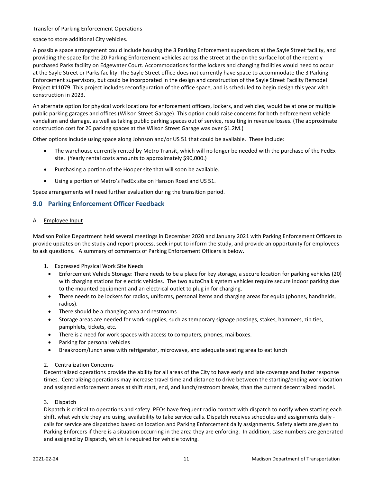space to store additional City vehicles.

A possible space arrangement could include housing the 3 Parking Enforcement supervisors at the Sayle Street facility, and providing the space for the 20 Parking Enforcement vehicles across the street at the on the surface lot of the recently purchased Parks facility on Edgewater Court. Accommodations for the lockers and changing facilities would need to occur at the Sayle Street or Parks facility. The Sayle Street office does not currently have space to accommodate the 3 Parking Enforcement supervisors, but could be incorporated in the design and construction of the Sayle Street Facility Remodel Project #11079. This project includes reconfiguration of the office space, and is scheduled to begin design this year with construction in 2023.

An alternate option for physical work locations for enforcement officers, lockers, and vehicles, would be at one or multiple public parking garages and offices (Wilson Street Garage). This option could raise concerns for both enforcement vehicle vandalism and damage, as well as taking public parking spaces out of service, resulting in revenue losses. (The approximate construction cost for 20 parking spaces at the Wilson Street Garage was over \$1.2M.)

Other options include using space along Johnson and/or US 51 that could be available. These include:

- The warehouse currently rented by Metro Transit, which will no longer be needed with the purchase of the FedEx site. (Yearly rental costs amounts to approximately \$90,000.)
- Purchasing a portion of the Hooper site that will soon be available.
- Using a portion of Metro's FedEx site on Hanson Road and US 51.

Space arrangements will need further evaluation during the transition period.

#### <span id="page-12-0"></span>**9.0 Parking Enforcement Officer Feedback**

#### <span id="page-12-1"></span>A. Employee Input

Madison Police Department held several meetings in December 2020 and January 2021 with Parking Enforcement Officers to provide updates on the study and report process, seek input to inform the study, and provide an opportunity for employees to ask questions. A summary of comments of Parking Enforcement Officers is below.

- 1. Expressed Physical Work Site Needs
	- Enforcement Vehicle Storage: There needs to be a place for key storage, a secure location for parking vehicles (20) with charging stations for electric vehicles. The two autoChalk system vehicles require secure indoor parking due to the mounted equipment and an electrical outlet to plug in for charging.
	- There needs to be lockers for radios, uniforms, personal items and charging areas for equip (phones, handhelds, radios).
	- There should be a changing area and restrooms
	- Storage areas are needed for work supplies, such as temporary signage postings, stakes, hammers, zip ties, pamphlets, tickets, etc.
	- There is a need for work spaces with access to computers, phones, mailboxes.
	- Parking for personal vehicles
	- Breakroom/lunch area with refrigerator, microwave, and adequate seating area to eat lunch

#### 2. Centralization Concerns

Decentralized operations provide the ability for all areas of the City to have early and late coverage and faster response times. Centralizing operations may increase travel time and distance to drive between the starting/ending work location and assigned enforcement areas at shift start, end, and lunch/restroom breaks, than the current decentralized model.

#### 3. Dispatch

Dispatch is critical to operations and safety. PEOs have frequent radio contact with dispatch to notify when starting each shift, what vehicle they are using, availability to take service calls. Dispatch receives schedules and assignments daily calls for service are dispatched based on location and Parking Enforcement daily assignments. Safety alerts are given to Parking Enforcers if there is a situation occurring in the area they are enforcing. In addition, case numbers are generated and assigned by Dispatch, which is required for vehicle towing.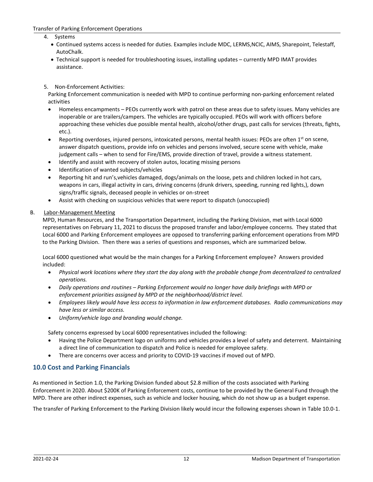- 4. Systems
	- Continued systems access is needed for duties. Examples include MDC, LERMS,NCIC, AIMS, Sharepoint, Telestaff, AutoChalk.
	- Technical support is needed for troubleshooting issues, installing updates currently MPD IMAT provides assistance.
- 5. Non-Enforcement Activities:

Parking Enforcement communication is needed with MPD to continue performing non-parking enforcement related activities

- Homeless encampments PEOs currently work with patrol on these areas due to safety issues. Many vehicles are inoperable or are trailers/campers. The vehicles are typically occupied. PEOs will work with officers before approaching these vehicles due possible mental health, alcohol/other drugs, past calls for services (threats, fights, etc.).
- Reporting overdoses, injured persons, intoxicated persons, mental health issues: PEOs are often  $1<sup>st</sup>$  on scene, answer dispatch questions, provide info on vehicles and persons involved, secure scene with vehicle, make judgement calls – when to send for Fire/EMS, provide direction of travel, provide a witness statement.
- Identify and assist with recovery of stolen autos, locating missing persons
- Identification of wanted subjects/vehicles
- Reporting hit and run's,vehicles damaged, dogs/animals on the loose, pets and children locked in hot cars, weapons in cars, illegal activity in cars, driving concerns (drunk drivers, speeding, running red lights,), down signs/traffic signals, deceased people in vehicles or on-street
- Assist with checking on suspicious vehicles that were report to dispatch (unoccupied)

#### <span id="page-13-0"></span>B. Labor-Management Meeting

MPD, Human Resources, and the Transportation Department, including the Parking Division, met with Local 6000 representatives on February 11, 2021 to discuss the proposed transfer and labor/employee concerns. They stated that Local 6000 and Parking Enforcement employees are opposed to transferring parking enforcement operations from MPD to the Parking Division. Then there was a series of questions and responses, which are summarized below.

Local 6000 questioned what would be the main changes for a Parking Enforcement employee? Answers provided included:

- *Physical work locations where they start the day along with the probable change from decentralized to centralized operations.*
- *Daily operations and routines – Parking Enforcement would no longer have daily briefings with MPD or enforcement priorities assigned by MPD at the neighborhood/district level.*
- *Employees likely would have less access to information in law enforcement databases. Radio communications may have less or similar access.*
- *Uniform/vehicle logo and branding would change.*

Safety concerns expressed by Local 6000 representatives included the following:

- Having the Police Department logo on uniforms and vehicles provides a level of safety and deterrent. Maintaining a direct line of communication to dispatch and Police is needed for employee safety.
- There are concerns over access and priority to COVID-19 vaccines if moved out of MPD.

#### <span id="page-13-1"></span>**10.0 Cost and Parking Financials**

As mentioned in Section 1.0, the Parking Division funded about \$2.8 million of the costs associated with Parking Enforcement in 2020. About \$200K of Parking Enforcement costs, continue to be provided by the General Fund through the MPD. There are other indirect expenses, such as vehicle and locker housing, which do not show up as a budget expense.

The transfer of Parking Enforcement to the Parking Division likely would incur the following expenses shown in Table 10.0-1.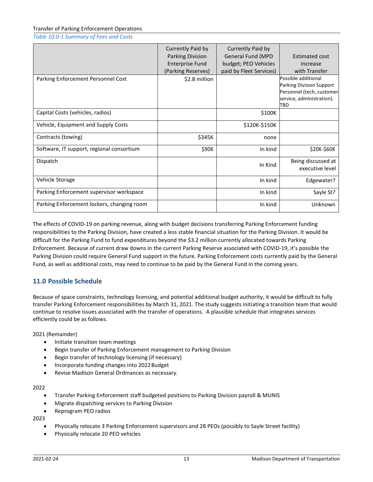<span id="page-14-0"></span>*Table 10.0-1 Summary of Fees and Costs*

|                                            | Currently Paid by<br><b>Parking Division</b><br><b>Enterprise Fund</b><br>(Parking Reserves) | Currently Paid by<br><b>General Fund (MPD</b><br>budget; PEO Vehicles<br>paid by Fleet Services) | <b>Estimated cost</b><br>increase<br>with Transfer                                                               |
|--------------------------------------------|----------------------------------------------------------------------------------------------|--------------------------------------------------------------------------------------------------|------------------------------------------------------------------------------------------------------------------|
| Parking Enforcement Personnel Cost         | \$2.8 million                                                                                |                                                                                                  | Possible additional<br>Parking Division Support<br>Personnel (tech, customer<br>service, administration).<br>TBD |
| Capital Costs (vehicles, radios)           |                                                                                              | \$100K                                                                                           |                                                                                                                  |
| Vehicle, Equipment and Supply Costs        |                                                                                              | \$120K-\$150K                                                                                    |                                                                                                                  |
| Contracts (towing)                         | \$345K                                                                                       | none                                                                                             |                                                                                                                  |
| Software, IT support, regional consortium  | \$90K                                                                                        | In kind                                                                                          | \$20K-\$60K                                                                                                      |
| Dispatch                                   |                                                                                              | In Kind                                                                                          | Being discussed at<br>executive level                                                                            |
| Vehicle Storage                            |                                                                                              | In kind                                                                                          | Edgewater?                                                                                                       |
| Parking Enforcement supervisor workspace   |                                                                                              | In kind                                                                                          | Sayle St?                                                                                                        |
| Parking Enforcement lockers, changing room |                                                                                              | In kind                                                                                          | Unknown                                                                                                          |

The effects of COVID-19 on parking revenue, along with budget decisions transferring Parking Enforcement funding responsibilities to the Parking Division, have created a less stable financial situation for the Parking Division. It would be difficult for the Parking Fund to fund expenditures beyond the \$3.2 million currently allocated towards Parking Enforcement. Because of current draw downs in the current Parking Reserve associated with COVID-19, it's possible the Parking Division could require General Fund support in the future. Parking Enforcement costs currently paid by the General Fund, as well as additional costs, may need to continue to be paid by the General Fund in the coming years.

#### <span id="page-14-1"></span>**11.0 Possible Schedule**

Because of space constraints, technology licensing, and potential additional budget authority, it would be difficult to fully transfer Parking Enforcement responsibilities by March 31, 2021. The study suggests initiating a transition team that would continue to resolve issues associated with the transfer of operations. A plausible schedule that integrates services efficiently could be as follows.

2021 (Remainder)

- Initiate transition team meetings
- Begin transfer of Parking Enforcement management to Parking Division
- Begin transfer of technology licensing (if necessary)
- Incorporate funding changes into 2022Budget
- Revise Madison General Ordinances as necessary.

#### 2022

- Transfer Parking Enforcement staff budgeted positions to Parking Division payroll & MUNIS
- Migrate dispatching services to Parking Division
- Reprogram PEO radios

2023

- Physically relocate 3 Parking Enforcement supervisors and 28 PEOs (possibly to Sayle Street facility)
- Physically relocate 20 PEO vehicles